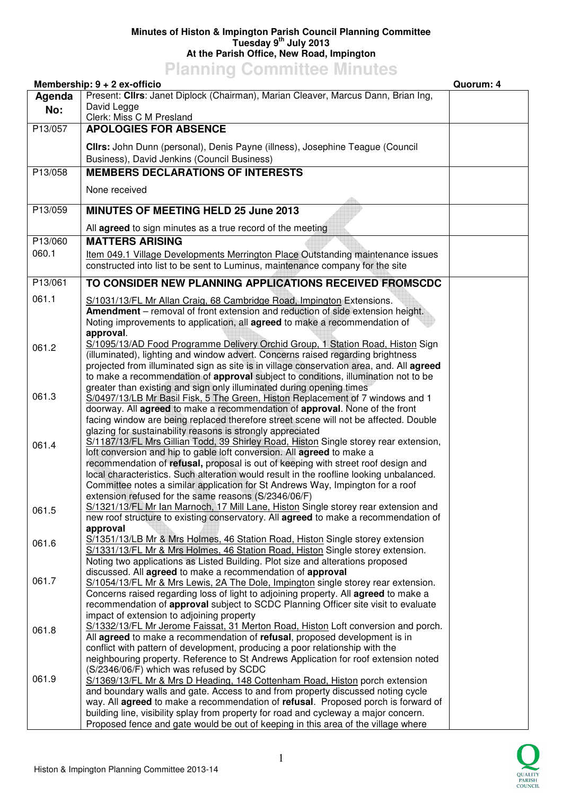## **Minutes of Histon & Impington Parish Council Planning Committee Tuesday 9th July 2013 At the Parish Office, New Road, Impington**

**Planning Committee Minutes** 

|         | Membership: 9 + 2 ex-officio                                                                                                                                              | Quorum: 4 |
|---------|---------------------------------------------------------------------------------------------------------------------------------------------------------------------------|-----------|
| Agenda  | Present: Clirs: Janet Diplock (Chairman), Marian Cleaver, Marcus Dann, Brian Ing,                                                                                         |           |
| No:     | David Legge                                                                                                                                                               |           |
|         | Clerk: Miss C M Presland                                                                                                                                                  |           |
| P13/057 | <b>APOLOGIES FOR ABSENCE</b>                                                                                                                                              |           |
|         | Clirs: John Dunn (personal), Denis Payne (illness), Josephine Teague (Council                                                                                             |           |
|         | Business), David Jenkins (Council Business)                                                                                                                               |           |
|         | <b>MEMBERS DECLARATIONS OF INTERESTS</b>                                                                                                                                  |           |
| P13/058 |                                                                                                                                                                           |           |
|         | None received                                                                                                                                                             |           |
|         |                                                                                                                                                                           |           |
| P13/059 | <b>MINUTES OF MEETING HELD 25 June 2013</b>                                                                                                                               |           |
|         | All <b>agreed</b> to sign minutes as a true record of the meeting                                                                                                         |           |
| P13/060 | <b>MATTERS ARISING</b>                                                                                                                                                    |           |
| 060.1   | Item 049.1 Village Developments Merrington Place Outstanding maintenance issues                                                                                           |           |
|         | constructed into list to be sent to Luminus, maintenance company for the site                                                                                             |           |
|         |                                                                                                                                                                           |           |
| P13/061 | TO CONSIDER NEW PLANNING APPLICATIONS RECEIVED FROMSCDC                                                                                                                   |           |
| 061.1   | S/1031/13/FL Mr Allan Craig, 68 Cambridge Road, Impington Extensions.                                                                                                     |           |
|         | <b>Amendment</b> – removal of front extension and reduction of side extension height.                                                                                     |           |
|         | Noting improvements to application, all agreed to make a recommendation of                                                                                                |           |
|         | approval.                                                                                                                                                                 |           |
| 061.2   | S/1095/13/AD Food Programme Delivery Orchid Group, 1 Station Road, Histon Sign                                                                                            |           |
|         | (illuminated), lighting and window advert. Concerns raised regarding brightness                                                                                           |           |
|         | projected from illuminated sign as site is in village conservation area, and. All agreed                                                                                  |           |
|         | to make a recommendation of approval subject to conditions, illumination not to be<br>greater than existing and sign only illuminated during opening times                |           |
| 061.3   | S/0497/13/LB Mr Basil Fisk, 5 The Green, Histon Replacement of 7 windows and 1                                                                                            |           |
|         | doorway. All agreed to make a recommendation of approval. None of the front                                                                                               |           |
|         | facing window are being replaced therefore street scene will not be affected. Double                                                                                      |           |
|         | glazing for sustainability reasons is strongly appreciated                                                                                                                |           |
| 061.4   | S/1187/13/FL Mrs Gillian Todd, 39 Shirley Road, Histon Single storey rear extension,                                                                                      |           |
|         | loft conversion and hip to gable loft conversion. All agreed to make a                                                                                                    |           |
|         | recommendation of refusal, proposal is out of keeping with street roof design and                                                                                         |           |
|         | local characteristics. Such alteration would result in the roofline looking unbalanced.                                                                                   |           |
|         | Committee notes a similar application for St Andrews Way, Impington for a roof                                                                                            |           |
|         | extension refused for the same reasons (S/2346/06/F)<br>S/1321/13/FL Mr lan Marnoch, 17 Mill Lane, Histon Single storey rear extension and                                |           |
| 061.5   | new roof structure to existing conservatory. All <b>agreed</b> to make a recommendation of                                                                                |           |
|         | approval                                                                                                                                                                  |           |
| 061.6   | S/1351/13/LB Mr & Mrs Holmes, 46 Station Road, Histon Single storey extension                                                                                             |           |
|         | S/1331/13/FL Mr & Mrs Holmes, 46 Station Road, Histon Single storey extension.                                                                                            |           |
|         | Noting two applications as Listed Building. Plot size and alterations proposed                                                                                            |           |
| 061.7   | discussed. All agreed to make a recommendation of approval                                                                                                                |           |
|         | S/1054/13/FL Mr & Mrs Lewis, 2A The Dole, Impington single storey rear extension.                                                                                         |           |
|         | Concerns raised regarding loss of light to adjoining property. All agreed to make a<br>recommendation of approval subject to SCDC Planning Officer site visit to evaluate |           |
|         | impact of extension to adjoining property                                                                                                                                 |           |
| 061.8   | S/1332/13/FL Mr Jerome Faissat, 31 Merton Road, Histon Loft conversion and porch.                                                                                         |           |
|         | All agreed to make a recommendation of refusal, proposed development is in                                                                                                |           |
|         | conflict with pattern of development, producing a poor relationship with the                                                                                              |           |
|         | neighbouring property. Reference to St Andrews Application for roof extension noted                                                                                       |           |
|         | (S/2346/06/F) which was refused by SCDC                                                                                                                                   |           |
| 061.9   | S/1369/13/FL Mr & Mrs D Heading, 148 Cottenham Road, Histon porch extension                                                                                               |           |
|         | and boundary walls and gate. Access to and from property discussed noting cycle                                                                                           |           |
|         | way. All agreed to make a recommendation of refusal. Proposed porch is forward of<br>building line, visibility splay from property for road and cycleway a major concern. |           |
|         | Proposed fence and gate would be out of keeping in this area of the village where                                                                                         |           |
|         |                                                                                                                                                                           |           |